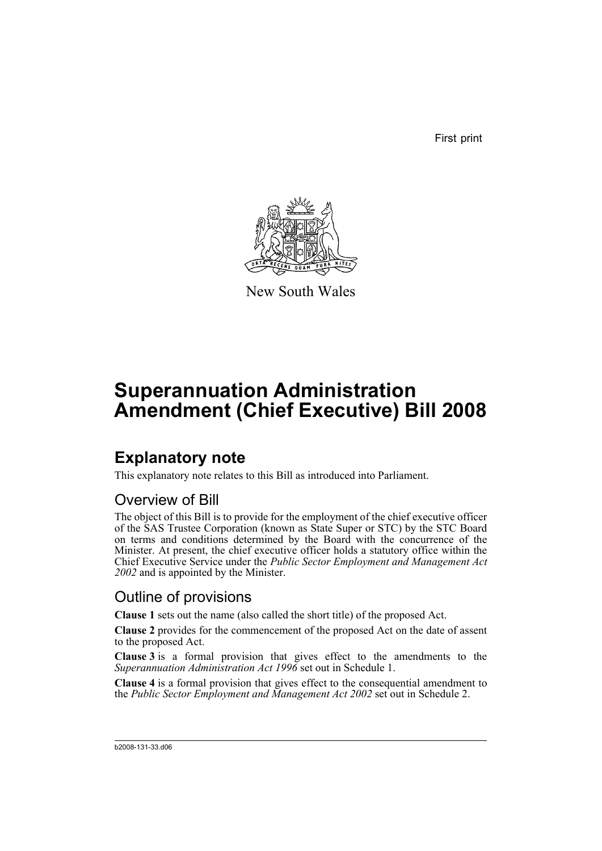First print



New South Wales

# **Superannuation Administration Amendment (Chief Executive) Bill 2008**

## **Explanatory note**

This explanatory note relates to this Bill as introduced into Parliament.

## Overview of Bill

The object of this Bill is to provide for the employment of the chief executive officer of the SAS Trustee Corporation (known as State Super or STC) by the STC Board on terms and conditions determined by the Board with the concurrence of the Minister. At present, the chief executive officer holds a statutory office within the Chief Executive Service under the *Public Sector Employment and Management Act 2002* and is appointed by the Minister.

## Outline of provisions

**Clause 1** sets out the name (also called the short title) of the proposed Act.

**Clause 2** provides for the commencement of the proposed Act on the date of assent to the proposed Act.

**Clause 3** is a formal provision that gives effect to the amendments to the *Superannuation Administration Act 1996* set out in Schedule 1.

**Clause 4** is a formal provision that gives effect to the consequential amendment to the *Public Sector Employment and Management Act 2002* set out in Schedule 2.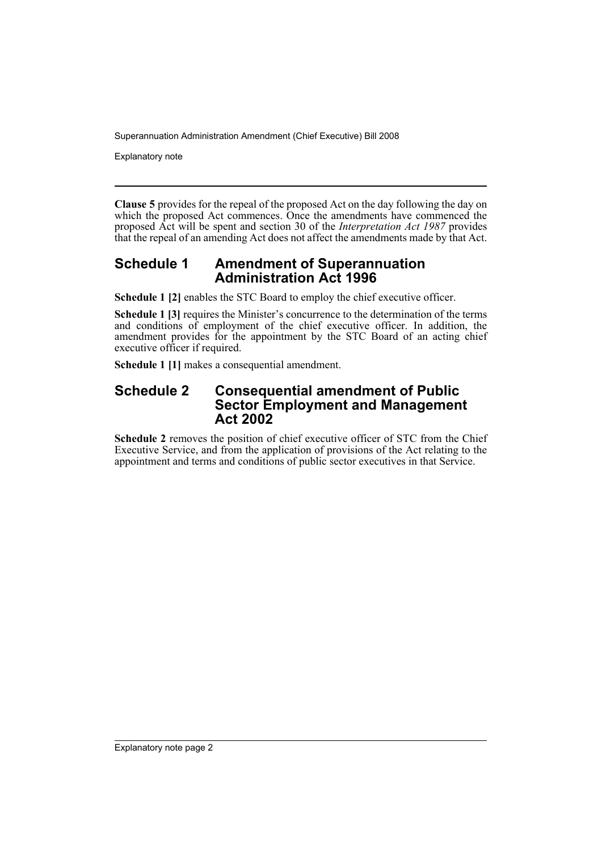Superannuation Administration Amendment (Chief Executive) Bill 2008

Explanatory note

**Clause 5** provides for the repeal of the proposed Act on the day following the day on which the proposed Act commences. Once the amendments have commenced the proposed Act will be spent and section 30 of the *Interpretation Act 1987* provides that the repeal of an amending Act does not affect the amendments made by that Act.

#### **Schedule 1 Amendment of Superannuation Administration Act 1996**

**Schedule 1 [2]** enables the STC Board to employ the chief executive officer.

**Schedule 1 [3]** requires the Minister's concurrence to the determination of the terms and conditions of employment of the chief executive officer. In addition, the amendment provides for the appointment by the STC Board of an acting chief executive officer if required.

**Schedule 1 [1]** makes a consequential amendment.

#### **Schedule 2 Consequential amendment of Public Sector Employment and Management Act 2002**

**Schedule 2** removes the position of chief executive officer of STC from the Chief Executive Service, and from the application of provisions of the Act relating to the appointment and terms and conditions of public sector executives in that Service.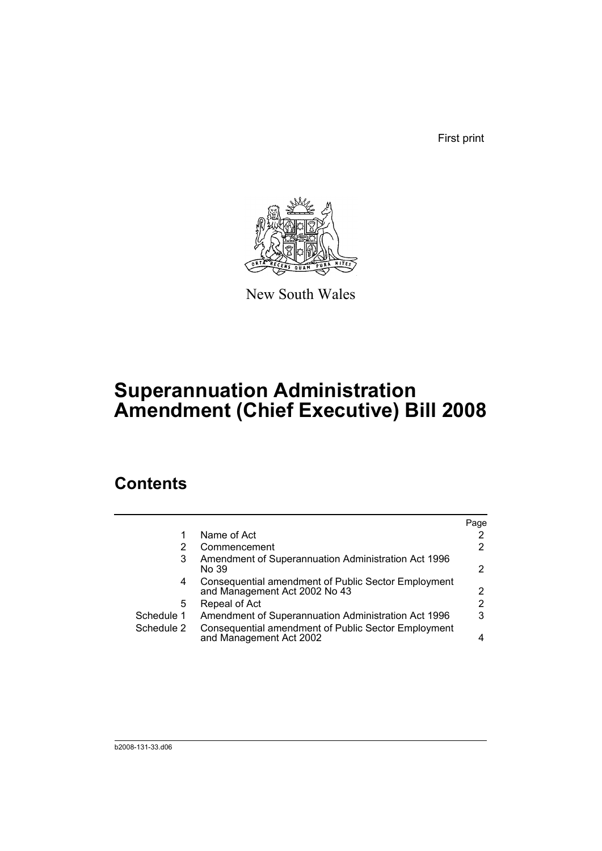First print



New South Wales

# **Superannuation Administration Amendment (Chief Executive) Bill 2008**

## **Contents**

|            |                                                                                      | Page                  |
|------------|--------------------------------------------------------------------------------------|-----------------------|
|            | Name of Act                                                                          | 2                     |
| 2          | Commencement                                                                         | 2                     |
| 3          | Amendment of Superannuation Administration Act 1996<br>No 39                         | 2                     |
| 4          | Consequential amendment of Public Sector Employment<br>and Management Act 2002 No 43 | $\mathbf{2}^{\prime}$ |
| 5          | Repeal of Act                                                                        | 2                     |
| Schedule 1 | Amendment of Superannuation Administration Act 1996                                  | 3                     |
| Schedule 2 | Consequential amendment of Public Sector Employment<br>and Management Act 2002       | 4                     |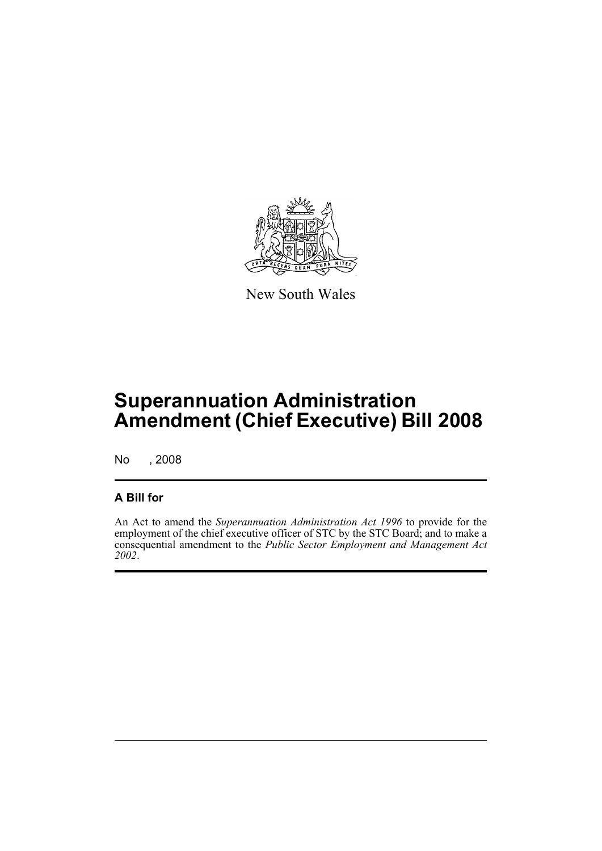

New South Wales

# **Superannuation Administration Amendment (Chief Executive) Bill 2008**

No , 2008

### **A Bill for**

An Act to amend the *Superannuation Administration Act 1996* to provide for the employment of the chief executive officer of STC by the STC Board; and to make a consequential amendment to the *Public Sector Employment and Management Act 2002*.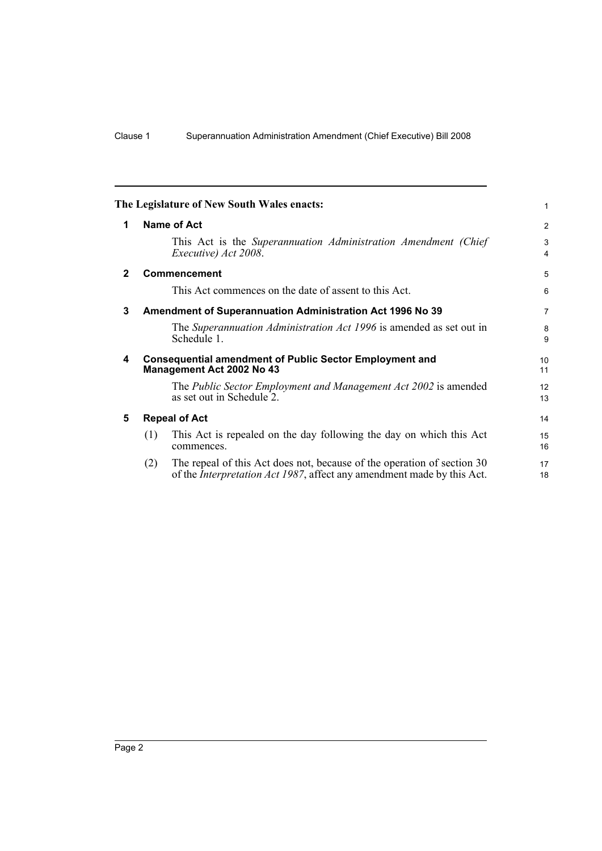<span id="page-5-4"></span><span id="page-5-3"></span><span id="page-5-2"></span><span id="page-5-1"></span><span id="page-5-0"></span>

|              |                      | The Legislature of New South Wales enacts:                                                                                                                | 1                     |
|--------------|----------------------|-----------------------------------------------------------------------------------------------------------------------------------------------------------|-----------------------|
| 1            |                      | Name of Act                                                                                                                                               | $\overline{2}$        |
|              |                      | This Act is the Superannuation Administration Amendment (Chief<br>Executive) Act 2008.                                                                    | 3<br>4                |
| $\mathbf{2}$ |                      | <b>Commencement</b>                                                                                                                                       | 5                     |
|              |                      | This Act commences on the date of assent to this Act.                                                                                                     | 6                     |
| 3            |                      | Amendment of Superannuation Administration Act 1996 No 39                                                                                                 | $\overline{7}$        |
|              |                      | The Superannuation Administration Act 1996 is amended as set out in<br>Schedule 1.                                                                        | 8<br>9                |
| 4            |                      | <b>Consequential amendment of Public Sector Employment and</b><br>Management Act 2002 No 43                                                               | 10 <sup>1</sup><br>11 |
|              |                      | The Public Sector Employment and Management Act 2002 is amended<br>as set out in Schedule 2.                                                              | 12<br>13              |
| 5            | <b>Repeal of Act</b> |                                                                                                                                                           | 14                    |
|              | (1)                  | This Act is repealed on the day following the day on which this Act<br>commences.                                                                         | 15<br>16              |
|              | (2)                  | The repeal of this Act does not, because of the operation of section 30<br>of the <i>Interpretation Act 1987</i> , affect any amendment made by this Act. | 17<br>18              |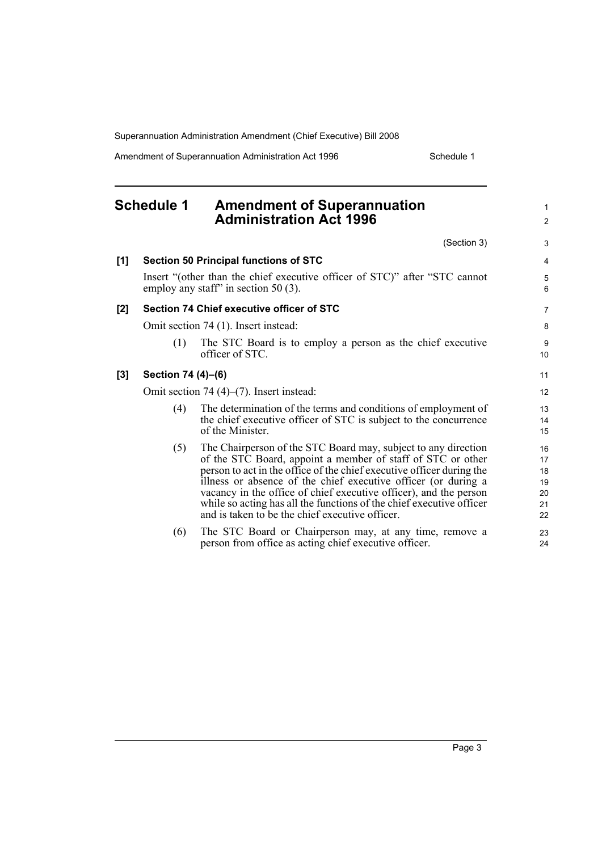Superannuation Administration Amendment (Chief Executive) Bill 2008

Amendment of Superannuation Administration Act 1996 Schedule 1

1

#### <span id="page-6-0"></span>**Schedule 1 Amendment of Superannuation Administration Act 1996** (Section 3) **[1] Section 50 Principal functions of STC** Insert "(other than the chief executive officer of STC)" after "STC cannot employ any staff" in section 50 (3). **[2] Section 74 Chief executive officer of STC** Omit section 74 (1). Insert instead: (1) The STC Board is to employ a person as the chief executive officer of STC. **[3] Section 74 (4)–(6)** Omit section 74 (4)–(7). Insert instead: (4) The determination of the terms and conditions of employment of the chief executive officer of STC is subject to the concurrence of the Minister. (5) The Chairperson of the STC Board may, subject to any direction of the STC Board, appoint a member of staff of STC or other person to act in the office of the chief executive officer during the illness or absence of the chief executive officer (or during a vacancy in the office of chief executive officer), and the person while so acting has all the functions of the chief executive officer and is taken to be the chief executive officer. (6) The STC Board or Chairperson may, at any time, remove a person from office as acting chief executive officer. 2 3 4 5 6 7 8 9 10 11 12 13 14 15 16 17 18 19 20 21 22 23  $24$